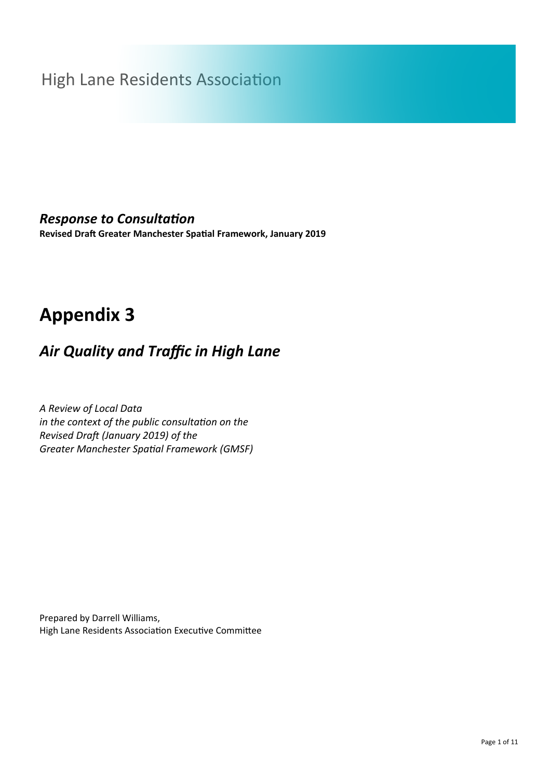# High Lane Residents Association

### *Response to Consultation*

**Revised Draft Greater Manchester Spatial Framework, January 2019**

# **Appendix 3**

## *Air Quality and Traffic in High Lane*

*A Review of Local Data in the context of the public consultation on the Revised Draft (January 2019) of the Greater Manchester Spatial Framework (GMSF)*

Prepared by Darrell Williams, High Lane Residents Association Executive Committee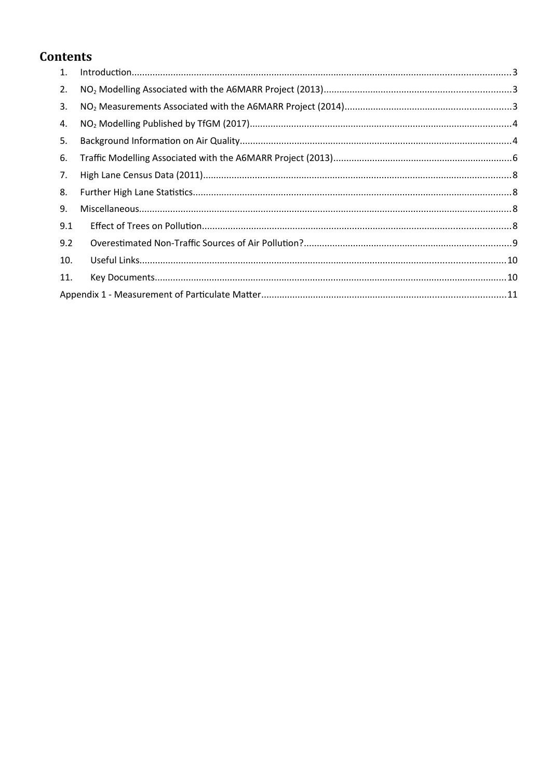### **Contents**

| 9.2 |  |
|-----|--|
| 10. |  |
|     |  |
|     |  |
|     |  |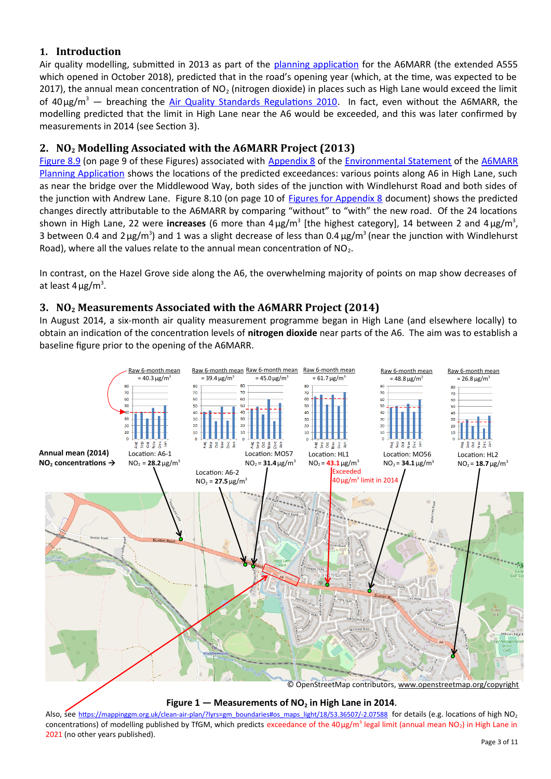#### <span id="page-2-0"></span>**1. Introduction**

Air quality modelling, submitted in 2013 as part of the [planning application](http://a6marr.stockport.gov.uk/planningapplications/) for the A6MARR (the extended A555 which opened in October 2018), predicted that in the road's opening year (which, at the time, was expected to be 2017), the annual mean concentration of  $NO<sub>2</sub>$  (nitrogen dioxide) in places such as High Lane would exceed the limit of 40µg/m<sup>3</sup> — breaching the [Air Quality Standards Regulations 2010.](http://www.legislation.gov.uk/uksi/2010/1001/pdfs/uksi_20101001_en.pdf) In fact, even without the A6MARR, the modelling predicted that the limit in High Lane near the A6 would be exceeded, and this was later confirmed by measurements in 2014 (see Section [3\)](#page-2-1).

#### <span id="page-2-2"></span>**2. NO2 Modelling Associated with the A6MARR Project (2013)**

[Figure 8.9](http://a6marr.stockport.gov.uk/746597/760092/813246/813254) (on page 9 of these Figures) associated with [Appendix 8](http://a6marr.stockport.gov.uk/746597/760092/812858) of the [Environmental Statement](http://a6marr.stockport.gov.uk/746597/760092/760274) of the [A6MARR](http://a6marr.stockport.gov.uk/planningapplications/) [Planning Application](http://a6marr.stockport.gov.uk/planningapplications/) shows the locations of the predicted exceedances: various points along A6 in High Lane, such as near the bridge over the Middlewood Way, both sides of the junction with Windlehurst Road and both sides of the junction with Andrew Lane. Figure 8.10 (on page 10 of [Figures for Appendix 8](http://a6marr.stockport.gov.uk/746597/760092/813246/813254) document) shows the predicted changes directly attributable to the A6MARR by comparing "without" to "with" the new road. Of the 24 locations shown in High Lane, 22 were **increases** (6 more than 4 µg/m<sup>3</sup> [the highest category], 14 between 2 and 4 µg/m<sup>3</sup>, 3 between 0.4 and 2  $\mu$ g/m<sup>3</sup>) and 1 was a slight decrease of less than 0.4  $\mu$ g/m<sup>3</sup> (near the junction with Windlehurst Road), where all the values relate to the annual mean concentration of  $NO<sub>2</sub>$ .

In contrast, on the Hazel Grove side along the A6, the overwhelming majority of points on map show decreases of at least  $4 \mu g/m^3$ .

#### <span id="page-2-1"></span>**3. NO2 Measurements Associated with the A6MARR Project (2014)**

In August 2014, a six-month air quality measurement programme began in High Lane (and elsewhere locally) to obtain an indication of the concentration levels of **nitrogen dioxide** near parts of the A6. The aim was to establish a baseline figure prior to the opening of the A6MARR.



**Figure 1 — Measurements of NO2 in High Lane in 2014.**

Also, see [https://mappinggm.org.uk/clean-air-plan/?lyrs=gm\\_boundaries#os\\_maps\\_light/18/53.36507/-2.07588](https://mappinggm.org.uk/clean-air-plan/?lyrs=gm_boundaries#os_maps_light/18/53.36507/-2.07588) for details (e.g. locations of high NO<sub>2</sub> concentrations) of modelling published by TfGM, which predicts exceedance of the 40µg/m<sup>3</sup> legal limit (annual mean NO<sub>2</sub>) in High Lane in 2021 (no other years published).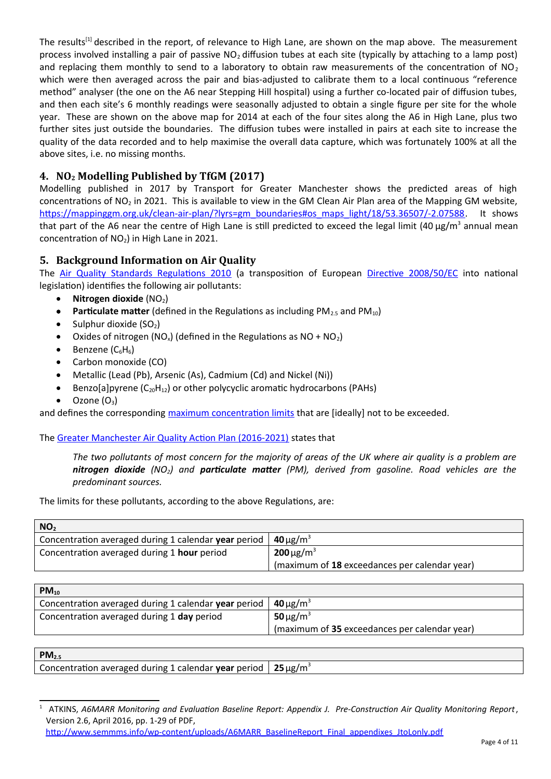The results<sup>[\[1](#page-3-2)]</sup> described in the report, of relevance to High Lane, are shown on the map above. The measurement process involved installing a pair of passive  $NO<sub>2</sub>$  diffusion tubes at each site (typically by attaching to a lamp post) and replacing them monthly to send to a laboratory to obtain raw measurements of the concentration of  $NO<sub>2</sub>$ which were then averaged across the pair and bias-adjusted to calibrate them to a local continuous "reference method" analyser (the one on the A6 near Stepping Hill hospital) using a further co-located pair of diffusion tubes, and then each site's 6 monthly readings were seasonally adjusted to obtain a single figure per site for the whole year. These are shown on the above map for 2014 at each of the four sites along the A6 in High Lane, plus two further sites just outside the boundaries. The diffusion tubes were installed in pairs at each site to increase the quality of the data recorded and to help maximise the overall data capture, which was fortunately 100% at all the above sites, i.e. no missing months.

#### <span id="page-3-0"></span>**4. NO2 Modelling Published by TfGM (2017)**

Modelling published in 2017 by Transport for Greater Manchester shows the predicted areas of high concentrations of  $NO<sub>2</sub>$  in 2021. This is available to view in the GM Clean Air Plan area of the Mapping GM website, [https://mappinggm.org.uk/clean-air-plan/?lyrs=gm\\_boundaries#os\\_maps\\_light/18/53.36507/-2.07588.](https://mappinggm.org.uk/clean-air-plan/?lyrs=gm_boundaries#os_maps_light/18/53.36507/-2.07588) It shows that part of the A6 near the centre of High Lane is still predicted to exceed the legal limit (40 µg/m<sup>3</sup> annual mean concentration of  $NO<sub>2</sub>$ ) in High Lane in 2021.

#### <span id="page-3-1"></span>**5. Background Information on Air Quality**

The [Air Quality Standards Regulations 2010](http://www.legislation.gov.uk/uksi/2010/1001/pdfs/uksi_20101001_en.pdf) (a transposition of European [Directive 2008/50/EC](https://eur-lex.europa.eu/legal-content/EN/TXT/PDF/?uri=CELEX:02008L0050-20150918&from=EN) into national legislation) identifies the following air pollutants:

- **•** Nitrogen dioxide  $(NO<sub>2</sub>)$
- **Particulate matter** (defined in the Regulations as including PM<sub>2.5</sub> and PM<sub>10</sub>)
- Sulphur dioxide  $(SO<sub>2</sub>)$
- Oxides of nitrogen (NO<sub>x</sub>) (defined in the Regulations as NO + NO<sub>2</sub>)
- $\bullet$  Benzene ( $C_6H_6$ )
- Carbon monoxide (CO)
- Metallic (Lead (Pb), Arsenic (As), Cadmium (Cd) and Nickel (Ni))
- Benzo[a]pyrene  $(C_{20}H_{12})$  or other polycyclic aromatic hydrocarbons (PAHs)
- Ozone  $(O_3)$

and defines the corresponding [maximum concentration limits](http://www.legislation.gov.uk/uksi/2010/1001/schedule/2/made) that are [ideally] not to be exceeded.

The [Greater Manchester Air Quality Action Plan \(2016-2021\)](https://www.manchester.gov.uk/download/downloads/id/24676/greater_manchester_air_quality_action_plan_2016.pdf) states that

*The two pollutants of most concern for the majority of areas of the UK where air quality is a problem are nitrogen dioxide (NO2) and particulate matter (PM), derived from gasoline. Road vehicles are the predominant sources.*

The limits for these pollutants, according to the above Regulations, are:

| NO <sub>2</sub>                                      |                                               |  |
|------------------------------------------------------|-----------------------------------------------|--|
| Concentration averaged during 1 calendar year period | <b>40</b> $\mu$ g/m <sup>3</sup>              |  |
| Concentration averaged during 1 hour period          | <b>200</b> $\mu$ g/m <sup>3</sup>             |  |
|                                                      | (maximum of 18 exceedances per calendar year) |  |

| $PM_{10}$                                            |                                               |
|------------------------------------------------------|-----------------------------------------------|
| Concentration averaged during 1 calendar year period | $40 \mu g/m^3$                                |
| Concentration averaged during 1 day period           | $50 \mu g/m^3$                                |
|                                                      | (maximum of 35 exceedances per calendar year) |

| $PM_{2.5}$                                           |               |
|------------------------------------------------------|---------------|
| Concentration averaged during 1 calendar year period | $25 \mu g/m3$ |

<span id="page-3-2"></span><sup>1</sup> ATKINS, *A6MARR Monitoring and Evaluation Baseline Report: Appendix J. Pre-Construction Air Quality Monitoring Report*, Version 2.6, April 2016, pp. 1-29 of PDF,

[http://www.semmms.info/wp-content/uploads/A6MARR\\_BaselineReport\\_Final\\_appendixes\\_JtoLonly.pdf](http://www.semmms.info/wp-content/uploads/A6MARR_BaselineReport_Final_appendixes_JtoLonly.pdf)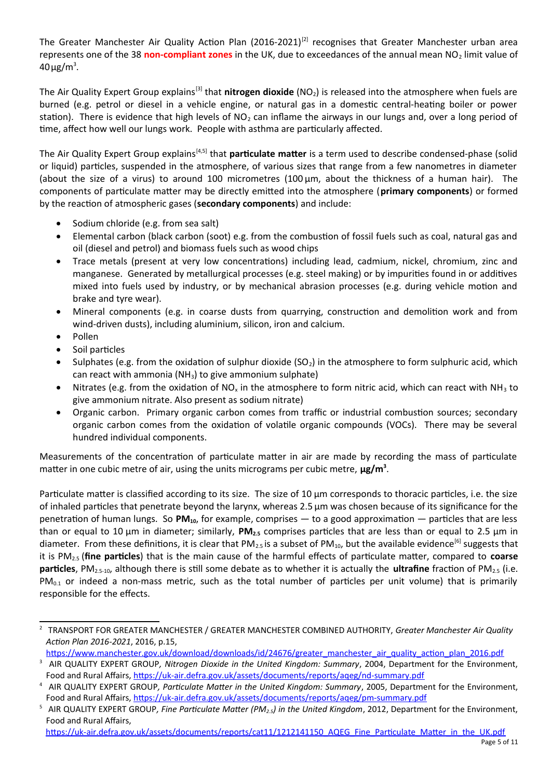The Greater Manchester Air Quality Action Plan (2016-2021)<sup>[\[2](#page-4-0)]</sup> recognises that Greater Manchester urban area represents one of the 38 non-compliant zones in the UK, due to exceedances of the annual mean NO<sub>2</sub> limit value of  $40 \mu g/m^3$ .

The Air Quality Expert Group explains<sup>[\[3\]](#page-4-1)</sup> that **nitrogen dioxide** (NO<sub>2</sub>) is released into the atmosphere when fuels are burned (e.g. petrol or diesel in a vehicle engine, or natural gas in a domestic central-heating boiler or power station). There is evidence that high levels of  $NO<sub>2</sub>$  can inflame the airways in our lungs and, over a long period of time, affect how well our lungs work. People with asthma are particularly affected.

The Air Quality Expert Group explains<sup>[[4](#page-4-2),[5\]](#page-4-3)</sup> that **particulate matter** is a term used to describe condensed-phase (solid or liquid) particles, suspended in the atmosphere, of various sizes that range from a few nanometres in diameter (about the size of a virus) to around 100 micrometres (100 µm, about the thickness of a human hair). The components of particulate matter may be directly emitted into the atmosphere (**primary components**) or formed by the reaction of atmospheric gases (**secondary components**) and include:

- Sodium chloride (e.g. from sea salt)
- Elemental carbon (black carbon (soot) e.g. from the combustion of fossil fuels such as coal, natural gas and oil (diesel and petrol) and biomass fuels such as wood chips
- Trace metals (present at very low concentrations) including lead, cadmium, nickel, chromium, zinc and manganese. Generated by metallurgical processes (e.g. steel making) or by impurities found in or additives mixed into fuels used by industry, or by mechanical abrasion processes (e.g. during vehicle motion and brake and tyre wear).
- Mineral components (e.g. in coarse dusts from quarrying, construction and demolition work and from wind-driven dusts), including aluminium, silicon, iron and calcium.
- Pollen
- Soil particles
- Sulphates (e.g. from the oxidation of sulphur dioxide (SO<sub>2</sub>) in the atmosphere to form sulphuric acid, which can react with ammonia ( $NH<sub>3</sub>$ ) to give ammonium sulphate)
- Nitrates (e.g. from the oxidation of NO<sub>x</sub> in the atmosphere to form nitric acid, which can react with NH<sub>3</sub> to give ammonium nitrate. Also present as sodium nitrate)
- Organic carbon. Primary organic carbon comes from traffic or industrial combustion sources; secondary organic carbon comes from the oxidation of volatile organic compounds (VOCs). There may be several hundred individual components.

Measurements of the concentration of particulate matter in air are made by recording the mass of particulate matter in one cubic metre of air, using the units micrograms per cubic metre,  $\mu$ g/m<sup>3</sup>.

Particulate matter is classified according to its size. The size of 10 µm corresponds to thoracic particles, i.e. the size of inhaled particles that penetrate beyond the larynx, whereas 2.5 µm was chosen because of its significance for the penetration of human lungs. So **PM10**, for example, comprises — to a good approximation — particles that are less than or equal to 10 µm in diameter; similarly, **PM2.5** comprises particles that are less than or equal to 2.5 µm in diameter. From these definitions, it is clear that PM<sub>2.5</sub> is a subset of PM<sub>10</sub>, but the available evidence<sup>[6]</sup> suggests that it is PM2.5 (**fine particles**) that is the main cause of the harmful effects of particulate matter, compared to **coarse particles**, PM2.5-10, although there is still some debate as to whether it is actually the **ultrafine** fraction of PM2.5 (i.e.  $PM<sub>0.1</sub>$  or indeed a non-mass metric, such as the total number of particles per unit volume) that is primarily responsible for the effects.

<span id="page-4-0"></span><sup>2</sup> TRANSPORT FOR GREATER MANCHESTER / GREATER MANCHESTER COMBINED AUTHORITY, *Greater Manchester Air Quality Action Plan 2016-2021*, 2016, p.15,

[https://www.manchester.gov.uk/download/downloads/id/24676/greater\\_manchester\\_air\\_quality\\_action\\_plan\\_2016.pdf](https://www.manchester.gov.uk/download/downloads/id/24676/greater_manchester_air_quality_action_plan_2016.pdf)

<span id="page-4-1"></span><sup>3</sup> AIR QUALITY EXPERT GROUP*, Nitrogen Dioxide in the United Kingdom: Summary*, 2004, Department for the Environment, Food and Rural Affairs,<https://uk-air.defra.gov.uk/assets/documents/reports/aqeg/nd-summary.pdf>

<span id="page-4-2"></span><sup>4</sup> AIR QUALITY EXPERT GROUP*, Particulate Matter in the United Kingdom: Summary*, 2005, Department for the Environment, Food and Rural Affairs,<https://uk-air.defra.gov.uk/assets/documents/reports/aqeg/pm-summary.pdf>

<span id="page-4-3"></span><sup>5</sup> AIR QUALITY EXPERT GROUP*, Fine Particulate Matter (PM2.5) in the United Kingdom*, 2012, Department for the Environment, Food and Rural Affairs,

[https://uk-air.defra.gov.uk/assets/documents/reports/cat11/1212141150\\_AQEG\\_Fine\\_Particulate\\_Matter\\_in\\_the\\_UK.pdf](https://uk-air.defra.gov.uk/assets/documents/reports/cat11/1212141150_AQEG_Fine_Particulate_Matter_in_the_UK.pdf)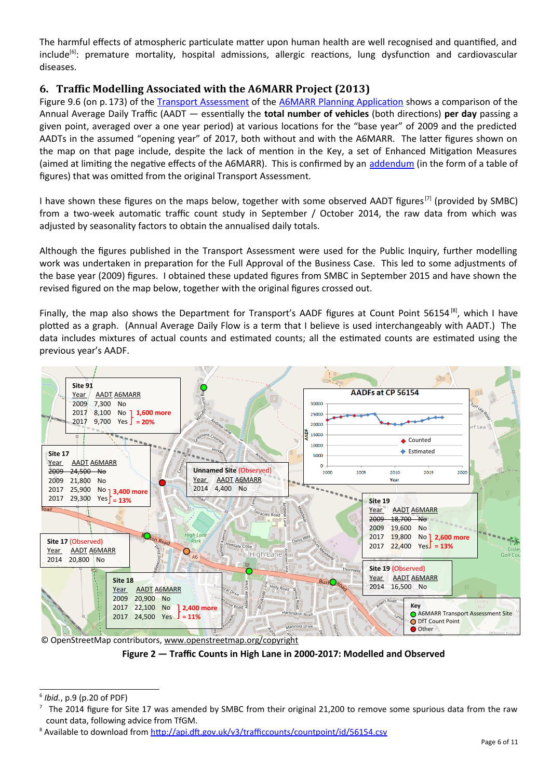The harmful effects of atmospheric particulate matter upon human health are well recognised and quantified, and include<sup>[\[6](#page-5-1)]</sup>: premature mortality, hospital admissions, allergic reactions, lung dysfunction and cardiovascular diseases.

#### <span id="page-5-0"></span>**6. Traffic Modelling Associated with the A6MARR Project (2013)**

Figure 9.6 (on p.173) of the [Transport Assessment](http://a6marr.stockport.gov.uk/746597/760095/760276) of the [A6MARR Planning Application](http://a6marr.stockport.gov.uk/planningapplications/) shows a comparison of the Annual Average Daily Traffic (AADT — essentially the **total number of vehicles** (both directions) **per day** passing a given point, averaged over a one year period) at various locations for the "base year" of 2009 and the predicted AADTs in the assumed "opening year" of 2017, both without and with the A6MARR. The latter figures shown on the map on that page include, despite the lack of mention in the Key, a set of Enhanced Mitigation Measures (aimed at limiting the negative effects of the A6MARR). This is confirmed by an [addendum](http://a6marr.stockport.gov.uk/746597/760095/forecastannualavaeragedailytraffic) (in the form of a table of figures) that was omitted from the original Transport Assessment.

I have shown these figures on the maps below, together with some observed AADT figures<sup>[\[7](#page-5-2)]</sup> (provided by SMBC) from a two-week automatic traffic count study in September / October 2014, the raw data from which was adjusted by seasonality factors to obtain the annualised daily totals.

Although the figures published in the Transport Assessment were used for the Public Inquiry, further modelling work was undertaken in preparation for the Full Approval of the Business Case. This led to some adjustments of the base year (2009) figures. I obtained these updated figures from SMBC in September 2015 and have shown the revised figured on the map below, together with the original figures crossed out.

Finally, the map also shows the Department for Transport's AADF figures at Count Point 56154<sup>[\[8](#page-5-3)]</sup>, which I have plotted as a graph. (Annual Average Daily Flow is a term that I believe is used interchangeably with AADT.) The data includes mixtures of actual counts and estimated counts; all the estimated counts are estimated using the previous year's AADF.



© OpenStreetMap contributors, [www.openstreetmap.org/copyright](http://www.openstreetmap.org/copyright)

**Figure 2 — Traffic Counts in High Lane in 2000-2017: Modelled and Observed**

<span id="page-5-1"></span><sup>6</sup> *Ibid.*, p.9 (p.20 of PDF)

<span id="page-5-2"></span> $^7$  The 2014 figure for Site 17 was amended by SMBC from their original 21,200 to remove some spurious data from the raw count data, following advice from TfGM.

<span id="page-5-3"></span><sup>&</sup>lt;sup>8</sup> Available to download from <http://api.dft.gov.uk/v3/trafficcounts/countpoint/id/56154.csv>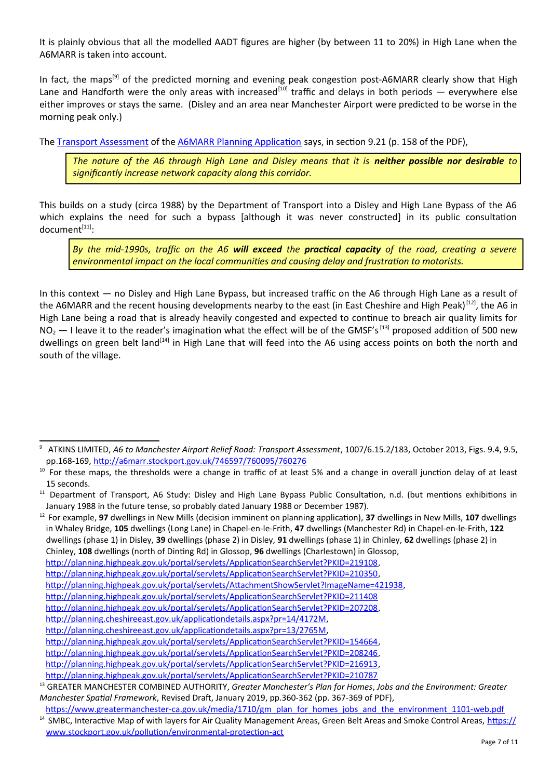It is plainly obvious that all the modelled AADT figures are higher (by between 11 to 20%) in High Lane when the A6MARR is taken into account.

In fact, the maps<sup>[\[9\]](#page-6-0)</sup> of the predicted morning and evening peak congestion post-A6MARR clearly show that High Lane and Handforth were the only areas with increased<sup>[\[10](#page-6-1)]</sup> traffic and delays in both periods — everywhere else either improves or stays the same. (Disley and an area near Manchester Airport were predicted to be worse in the morning peak only.)

The [Transport Assessment](http://a6marr.stockport.gov.uk/746597/760095/760276) of the [A6MARR Planning Application](http://a6marr.stockport.gov.uk/planningapplications/) says, in section 9.21 (p. 158 of the PDF),

*The nature of the A6 through High Lane and Disley means that it is neither possible nor desirable to significantly increase network capacity along this corridor.*

This builds on a study (circa 1988) by the Department of Transport into a Disley and High Lane Bypass of the A6 which explains the need for such a bypass [although it was never constructed] in its public consultation document[\[11\]](#page-6-2):

*By the mid-1990s, traffic on the A6 will exceed the practical capacity of the road, creating a severe environmental impact on the local communities and causing delay and frustration to motorists.*

In this context — no Disley and High Lane Bypass, but increased traffic on the A6 through High Lane as a result of the A6MARR and the recent housing developments nearby to the east (in East Cheshire and High Peak)<sup>[[12](#page-6-3)]</sup>, the A6 in High Lane being a road that is already heavily congested and expected to continue to breach air quality limits for  $NO_2$   $-$  I leave it to the reader's imagination what the effect will be of the GMSF's<sup>[[13](#page-6-4)]</sup> proposed addition of 500 new dwellings on green belt land<sup>[[14](#page-6-5)]</sup> in High Lane that will feed into the A6 using access points on both the north and south of the village.

<span id="page-6-0"></span><sup>&</sup>lt;sup>9</sup> ATKINS LIMITED, A6 to Manchester Airport Relief Road: Transport Assessment, 1007/6.15.2/183, October 2013, Figs. 9.4, 9.5, pp.168-169, <http://a6marr.stockport.gov.uk/746597/760095/760276>

<span id="page-6-1"></span><sup>&</sup>lt;sup>10</sup> For these maps, the thresholds were a change in traffic of at least 5% and a change in overall junction delay of at least 15 seconds.

<span id="page-6-2"></span><sup>&</sup>lt;sup>11</sup> Department of Transport, A6 Study: Disley and High Lane Bypass Public Consultation, n.d. (but mentions exhibitions in January 1988 in the future tense, so probably dated January 1988 or December 1987).

<span id="page-6-3"></span><sup>12</sup> For example, **97** dwellings in New Mills (decision imminent on planning application), **37** dwellings in New Mills, **107** dwellings in Whaley Bridge, **105** dwellings (Long Lane) in Chapel-en-le-Frith, **47** dwellings (Manchester Rd) in Chapel-en-le-Frith, **122** dwellings (phase 1) in Disley, **39** dwellings (phase 2) in Disley, **91** dwellings (phase 1) in Chinley, **62** dwellings (phase 2) in Chinley, **108** dwellings (north of Dinting Rd) in Glossop, **96** dwellings (Charlestown) in Glossop, [http://planning.highpeak.gov.uk/portal/servlets/ApplicationSearchServlet?PKID=219108,](http://planning.highpeak.gov.uk/portal/servlets/ApplicationSearchServlet?PKID=219108) [http://planning.highpeak.gov.uk/portal/servlets/ApplicationSearchServlet?PKID=210350,](http://planning.highpeak.gov.uk/portal/servlets/ApplicationSearchServlet?PKID=210350) [http://planning.highpeak.gov.uk/portal/servlets/AttachmentShowServlet?ImageName=421938,](http://planning.highpeak.gov.uk/portal/servlets/AttachmentShowServlet?ImageName=421938) <http://planning.highpeak.gov.uk/portal/servlets/ApplicationSearchServlet?PKID=211408> [http://planning.highpeak.gov.uk/portal/servlets/ApplicationSearchServlet?PKID=207208,](http://planning.highpeak.gov.uk/portal/servlets/ApplicationSearchServlet?PKID=207208) [http://planning.cheshireeast.gov.uk/applicationdetails.aspx?pr=14/4172M,](http://planning.cheshireeast.gov.uk/applicationdetails.aspx?pr=14/4172M) [http://planning.cheshireeast.gov.uk/applicationdetails.aspx?pr=13/2765M,](http://planning.cheshireeast.gov.uk/applicationdetails.aspx?pr=13/2765M) [http://planning.highpeak.gov.uk/portal/servlets/ApplicationSearchServlet?PKID=154664,](http://planning.highpeak.gov.uk/portal/servlets/ApplicationSearchServlet?PKID=154664) [http://planning.highpeak.gov.uk/portal/servlets/ApplicationSearchServlet?PKID=208246,](http://planning.highpeak.gov.uk/portal/servlets/ApplicationSearchServlet?PKID=208246) [http://planning.highpeak.gov.uk/portal/servlets/ApplicationSearchServlet?PKID=216913,](http://planning.highpeak.gov.uk/portal/servlets/ApplicationSearchServlet?PKID=216913)

<http://planning.highpeak.gov.uk/portal/servlets/ApplicationSearchServlet?PKID=210787>

<span id="page-6-4"></span><sup>13</sup> GREATER MANCHESTER COMBINED AUTHORITY, *Greater Manchester's Plan for Homes*, *Jobs and the Environment: Greater Manchester Spatial Framework*, Revised Draft, January 2019, pp.360-362 (pp. 367-369 of PDF),

<span id="page-6-5"></span>[https://www.greatermanchester-ca.gov.uk/media/1710/gm\\_plan\\_for\\_homes\\_jobs\\_and\\_the\\_environment\\_1101-web.pdf](https://www.greatermanchester-ca.gov.uk/media/1710/gm_plan_for_homes_jobs_and_the_environment_1101-web.pdf) <sup>14</sup> SMBC, Interactive Map of with layers for Air Quality Management Areas, Green Belt Areas and Smoke Control Areas, [https://](https://www.stockport.gov.uk/pollution/environmental-protection-act) [www.stockport.gov.uk/pollution/environmental-protection-act](https://www.stockport.gov.uk/pollution/environmental-protection-act)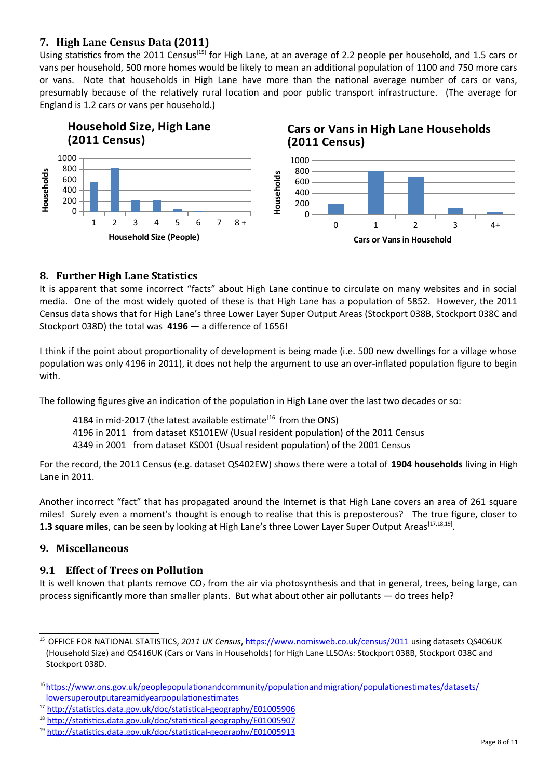#### <span id="page-7-0"></span>**7. High Lane Census Data (2011)**

Using statistics from the 2011 Census<sup>[\[15](#page-7-4)]</sup> for High Lane, at an average of 2.2 people per household, and 1.5 cars or vans per household, 500 more homes would be likely to mean an additional population of 1100 and 750 more cars or vans. Note that households in High Lane have more than the national average number of cars or vans, presumably because of the relatively rural location and poor public transport infrastructure. (The average for England is 1.2 cars or vans per household.)



#### <span id="page-7-1"></span>**8. Further High Lane Statistics**

It is apparent that some incorrect "facts" about High Lane continue to circulate on many websites and in social media. One of the most widely quoted of these is that High Lane has a population of 5852. However, the 2011 Census data shows that for High Lane's three Lower Layer Super Output Areas (Stockport 038B, Stockport 038C and Stockport 038D) the total was **4196** — a difference of 1656!

I think if the point about proportionality of development is being made (i.e. 500 new dwellings for a village whose population was only 4196 in 2011), it does not help the argument to use an over-inflated population figure to begin with.

The following figures give an indication of the population in High Lane over the last two decades or so:

4184 in mid-2017 (the latest available estimate $^{[16]}$  $^{[16]}$  $^{[16]}$  from the ONS)

4196 in 2011 from dataset KS101EW (Usual resident population) of the 2011 Census

4349 in 2001 from dataset KS001 (Usual resident population) of the 2001 Census

For the record, the 2011 Census (e.g. dataset QS402EW) shows there were a total of **1904 households** living in High Lane in 2011.

Another incorrect "fact" that has propagated around the Internet is that High Lane covers an area of 261 square miles! Surely even a moment's thought is enough to realise that this is preposterous? The true figure, closer to 1.3 square miles, can be seen by looking at High Lane's three Lower Layer Super Output Areas<sup>[\[17](#page-7-6)[,18](#page-7-7),[19](#page-7-8)]</sup>.

#### <span id="page-7-2"></span>**9. Miscellaneous**

#### <span id="page-7-3"></span>**9.1 Effect of Trees on Pollution**

It is well known that plants remove  $CO<sub>2</sub>$  from the air via photosynthesis and that in general, trees, being large, can process significantly more than smaller plants. But what about other air pollutants — do trees help?

<span id="page-7-4"></span><sup>15</sup> OFFICE FOR NATIONAL STATISTICS, *2011 UK Census*,<https://www.nomisweb.co.uk/census/2011> using datasets QS406UK (Household Size) and QS416UK (Cars or Vans in Households) for High Lane LLSOAs: Stockport 038B, Stockport 038C and Stockport 038D.

<span id="page-7-5"></span><sup>&</sup>lt;sup>16</sup> [https://www.ons.gov.uk/peoplepopulationandcommunity/populationandmigration/populationestimates/datasets/](https://www.ons.gov.uk/peoplepopulationandcommunity/populationandmigration/populationestimates/datasets/lowersuperoutputareamidyearpopulationestimates) [lowersuperoutputareamidyearpopulationestimates](https://www.ons.gov.uk/peoplepopulationandcommunity/populationandmigration/populationestimates/datasets/lowersuperoutputareamidyearpopulationestimates)

<span id="page-7-6"></span><sup>17</sup> <http://statistics.data.gov.uk/doc/statistical-geography/E01005906>

<span id="page-7-7"></span><sup>18</sup> <http://statistics.data.gov.uk/doc/statistical-geography/E01005907>

<span id="page-7-8"></span><sup>&</sup>lt;sup>19</sup> <http://statistics.data.gov.uk/doc/statistical-geography/E01005913>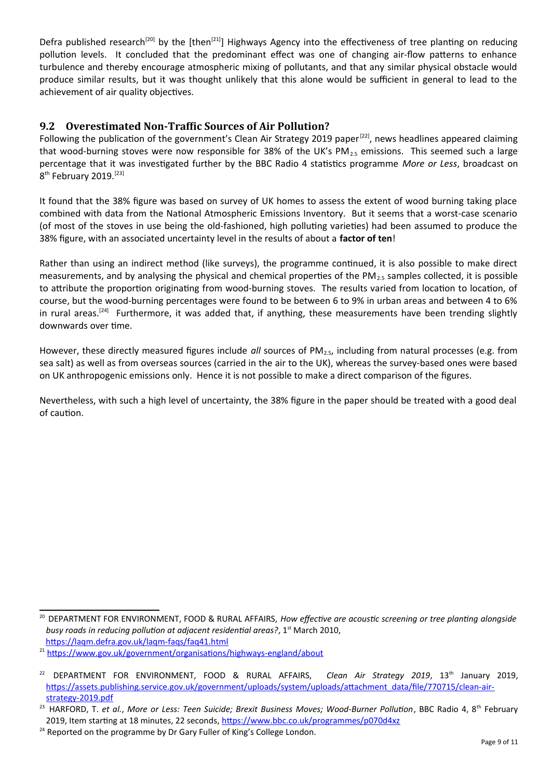Defra published research<sup>[\[20](#page-8-1)]</sup> by the [then<sup>[\[21\]](#page-8-2)</sup>] Highways Agency into the effectiveness of tree planting on reducing pollution levels. It concluded that the predominant effect was one of changing air-flow patterns to enhance turbulence and thereby encourage atmospheric mixing of pollutants, and that any similar physical obstacle would produce similar results, but it was thought unlikely that this alone would be sufficient in general to lead to the achievement of air quality objectives.

#### <span id="page-8-0"></span>**9.2 Overestimated Non-Traffic Sources of Air Pollution?**

Following the publication of the government's Clean Air Strategy 2019 paper<sup>[\[22](#page-8-3)]</sup>, news headlines appeared claiming that wood-burning stoves were now responsible for 38% of the UK's PM $_{2.5}$  emissions. This seemed such a large percentage that it was investigated further by the BBC Radio 4 statistics programme *More or Less*, broadcast on 8<sup>th</sup> February 2019.<sup>[[23](#page-8-4)]</sup>

It found that the 38% figure was based on survey of UK homes to assess the extent of wood burning taking place combined with data from the National Atmospheric Emissions Inventory. But it seems that a worst-case scenario (of most of the stoves in use being the old-fashioned, high polluting varieties) had been assumed to produce the 38% figure, with an associated uncertainty level in the results of about a **factor of ten**!

Rather than using an indirect method (like surveys), the programme continued, it is also possible to make direct measurements, and by analysing the physical and chemical properties of the PM<sub>2.5</sub> samples collected, it is possible to attribute the proportion originating from wood-burning stoves. The results varied from location to location, of course, but the wood-burning percentages were found to be between 6 to 9% in urban areas and between 4 to 6% in rural areas.<sup>[\[24\]](#page-8-5)</sup> Furthermore, it was added that, if anything, these measurements have been trending slightly downwards over time.

However, these directly measured figures include *all* sources of PM2.5, including from natural processes (e.g. from sea salt) as well as from overseas sources (carried in the air to the UK), whereas the survey-based ones were based on UK anthropogenic emissions only. Hence it is not possible to make a direct comparison of the figures.

Nevertheless, with such a high level of uncertainty, the 38% figure in the paper should be treated with a good deal of caution.

<span id="page-8-1"></span><sup>&</sup>lt;sup>20</sup> DEPARTMENT FOR ENVIRONMENT, FOOD & RURAL AFFAIRS, *How effective are acoustic screening or tree planting alongside busy roads in reducing pollution at adjacent residential areas?*, 1<sup>st</sup> March 2010, <https://laqm.defra.gov.uk/laqm-faqs/faq41.html>

<span id="page-8-2"></span><sup>&</sup>lt;sup>21</sup> <https://www.gov.uk/government/organisations/highways-england/about>

<span id="page-8-3"></span><sup>22</sup> DEPARTMENT FOR ENVIRONMENT, FOOD & RURAL AFFAIRS, *Clean Air Strategy 2019*, 13th January 2019, [https://assets.publishing.service.gov.uk/government/uploads/system/uploads/attachment\\_data/file/770715/clean-air](https://assets.publishing.service.gov.uk/government/uploads/system/uploads/attachment_data/file/770715/clean-air-strategy-2019.pdf)[strategy-2019.pdf](https://assets.publishing.service.gov.uk/government/uploads/system/uploads/attachment_data/file/770715/clean-air-strategy-2019.pdf)

<span id="page-8-4"></span><sup>&</sup>lt;sup>23</sup> HARFORD, T. et al., More or Less: Teen Suicide; Brexit Business Moves; Wood-Burner Pollution, BBC Radio 4, 8<sup>th</sup> February 2019, Item starting at 18 minutes, 22 seconds, <https://www.bbc.co.uk/programmes/p070d4xz>

<span id="page-8-5"></span> $24$  Reported on the programme by Dr Gary Fuller of King's College London.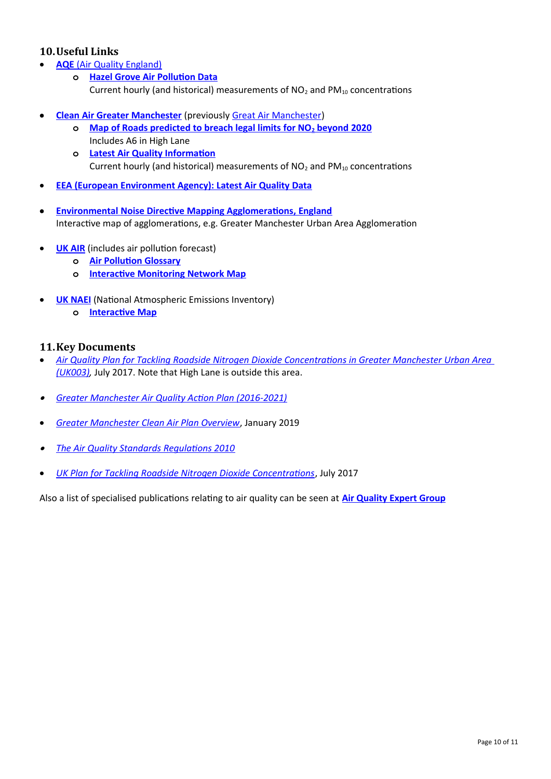#### <span id="page-9-0"></span>**10.Useful Links**

- **AQE** [\(Air Quality England\)](http://www.airqualityengland.co.uk/)
	- **o [Hazel Grove Air Pollution Data](http://www.airqualityengland.co.uk/site/latest?site_id=STK5)** Current hourly (and historical) measurements of  $NO<sub>2</sub>$  and  $PM<sub>10</sub>$  concentrations
- **• [Clean Air Greater Manchester](https://www.cleanairgm.com/)** (previously [Great Air Manchester](http://www.greatairmanchester.org.uk/))
	- **o [Map of Roads predicted to breach legal limits for NO](https://www.cleanairgm.com/which-roads-are-affected)2 beyond 2020** Includes A6 in High Lane
	- **o [Latest Air Quality Information](https://www.cleanairgm.com/air-quality-data/monitoring-stations)** Current hourly (and historical) measurements of  $NO<sub>2</sub>$  and  $PM<sub>10</sub>$  concentrations
- **[EEA \(European Environment Agency\): Latest Air Quality Data](https://www.eea.europa.eu/data-and-maps/explore-interactive-maps/up-to-date-air-quality-data)**
- **[Environmental Noise Directive Mapping Agglomerations, England](https://data.gov.uk/data/map-preview?e=1.8&n=55.8&s=50.0&url=http%3A%2F%2Fenvironment.data.gov.uk%2Fds%2Fwms%3FSERVICE%3DWMS%26INTERFACE%3DENVIRONMENT--c4bc5ebd-eab8-4b8a-be54-83d2f7132059%26request%3DGetCapabilities&w=-5.7)** Interactive map of agglomerations, e.g. Greater Manchester Urban Area Agglomeration
- **• [UK AIR](https://uk-air.defra.gov.uk/)** (includes air pollution forecast)
	- **o [Air Pollution Glossary](https://uk-air.defra.gov.uk/air-pollution/glossary)**
	- **o [Interactive Monitoring Network Map](https://uk-air.defra.gov.uk/interactive-map)**
- **• [UK NAEI](http://naei.beis.gov.uk/)** (National Atmospheric Emissions Inventory)
	- **o [Interactive Map](http://naei.beis.gov.uk/emissionsapp/)**

#### <span id="page-9-1"></span>**11.Key Documents**

- *[Air Quality Plan for Tackling Roadside Nitrogen Dioxide Concentrations in Greater Manchester Urban Area](https://uk-air.defra.gov.uk/assets/documents/no2ten/2017-zone-plans/AQplans_UK0003.pdf)  [\(UK003\),](https://uk-air.defra.gov.uk/assets/documents/no2ten/2017-zone-plans/AQplans_UK0003.pdf)* July 2017. Note that High Lane is outside this area.
- *[Greater Manchester Air Quality Action Plan \(2016-2021\)](https://www.manchester.gov.uk/download/downloads/id/24676/greater_manchester_air_quality_action_plan_2016.pdf)*
- *[Greater Manchester Clean Air Plan Overview](https://assets.ctfassets.net/qwn52pjrjtij/4j4TFJB9kSvfy8qmTgt24p/bd50680e4248050be961b2c4c1210b76/Clean_Air_Plan_overview__4pp_31Jan2019_Update.pdf)*, January 2019
- *[The Air Quality Standards Regulations 2010](http://www.legislation.gov.uk/uksi/2010/1001/pdfs/uksi_20101001_en.pdf)*
- *[UK Plan for Tackling Roadside Nitrogen Dioxide Concentrations](https://assets.publishing.service.gov.uk/government/uploads/system/uploads/attachment_data/file/633270/air-quality-plan-detail.pdf)*, July 2017

Also a list of specialised publications relating to air quality can be seen at **[Air Quality Expert Group](https://uk-air.defra.gov.uk/library/aqeg/publications)**